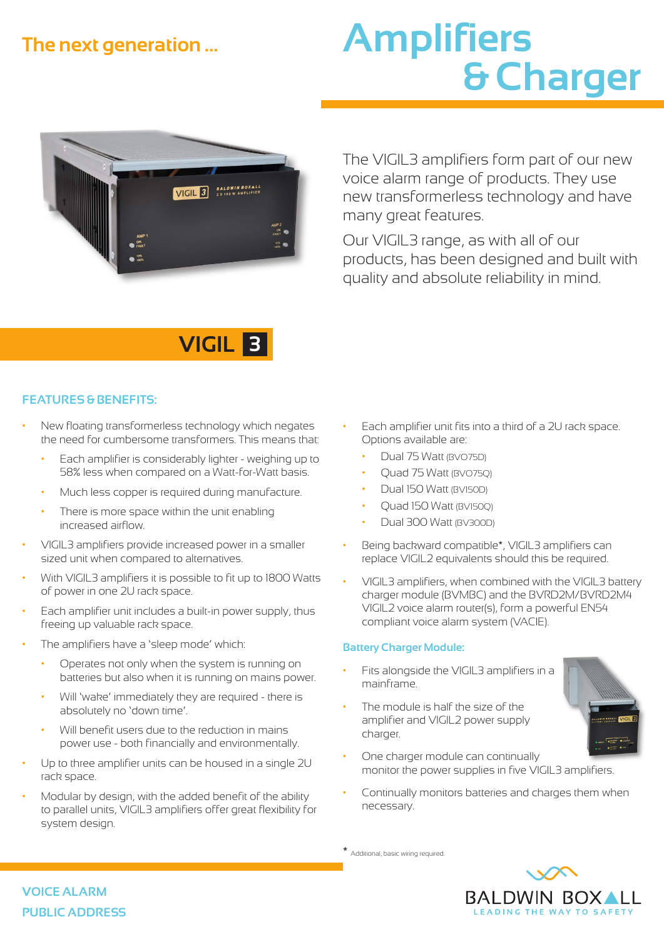### **The next generation ...**

# **Amplifiers & Charger**



The VIGIL3 amplifiers form part of our new voice alarm range of products. They use new transformerless technology and have many great features.

Our VIGIL3 range, as with all of our products, has been designed and built with quality and absolute reliability in mind.



#### **FEATURES & BENEFITS:**

- New floating transformerless technology which negates the need for cumbersome transformers. This means that:
	- Each amplifier is considerably lighter weighing up to 58% less when compared on a Watt-for-Watt basis.
	- Much less copper is required during manufacture.
	- There is more space within the unit enabling increased airflow.
- VIGIL3 amplifiers provide increased power in a smaller sized unit when compared to alternatives.
- With VIGIL3 amplifiers it is possible to fit up to 1800 Watts of power in one 2U rack space.
- Each amplifier unit includes a built-in power supply, thus freeing up valuable rack space.
- The amplifiers have a 'sleep mode' which:
	- Operates not only when the system is running on batteries but also when it is running on mains power.
	- Will 'wake' immediately they are required there is absolutely no 'down time'.
	- Will benefit users due to the reduction in mains power use - both financially and environmentally.
- Up to three amplifier units can be housed in a single 2U rack space.
- Modular by design, with the added benefit of the ability to parallel units, VIGIL3 amplifiers offer great flexibility for system design.
- Each amplifier unit fits into a third of a 2U rack space. Options available are:
	- Dual 75 Watt (BVO75D)
	- Quad 75 Watt (BVO75Q)
	- Dual 150 Watt (BV150D)
	- Quad 150 Watt (BV150Q)
	- Dual 300 Watt (BV300D)
- Being backward compatible\*, VIGIL3 amplifiers can replace VIGIL2 equivalents should this be required.
- VIGIL3 amplifiers, when combined with the VIGIL3 battery charger module (BVMBC) and the BVRD2M/BVRD2M4 VIGIL2 voice alarm router(s), form a powerful EN54 compliant voice alarm system (VACIE).

#### **Battery Charger Module:**

- Fits alongside the VIGIL3 amplifiers in a mainframe.
- The module is half the size of the amplifier and VIGIL2 power supply charger.



- One charger module can continually monitor the power supplies in five VIGIL3 amplifiers.
- Continually monitors batteries and charges them when necessary.

\* Additional, basic wiring required.



**VOICE ALARM PUBLIC ADDRESS**